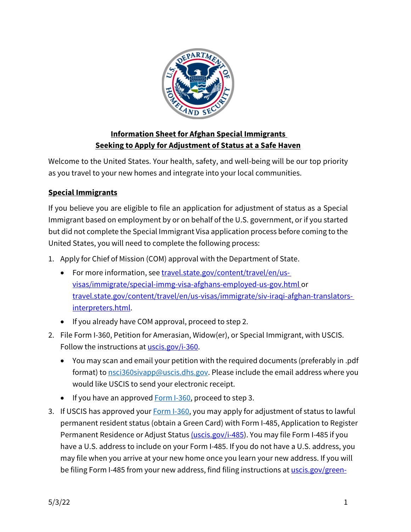

## **Information Sheet for Afghan Special Immigrants Seeking to Apply for Adjustment of Status at a Safe Haven**

Welcome to the United States. Your health, safety, and well-being will be our top priority as you travel to your new homes and integrate into your local communities.

## **Special Immigrants**

If you believe you are eligible to file an application for adjustment of status as a Special Immigrant based on employment by or on behalf of the U.S. government, or if you started but did not complete the Special Immigrant Visa application process before coming to the United States, you will need to complete the following process:

- 1. Apply for Chief of Mission (COM) approval with the Department of State.
	- For more information, see [travel.state.gov/content/travel/en/us](http://travel.state.gov/content/travel/en/us-visas/immigrate/special-immg-visa-afghans-employed-us-gov.html)[visas/immigrate/special-immg-visa-afghans-employed-us-gov.html](http://travel.state.gov/content/travel/en/us-visas/immigrate/special-immg-visa-afghans-employed-us-gov.html) or travel.state.gov/content/travel/en/us-visas/immigrate/siv-iraqi-afghan-translatorsinterpreters.html.
	- If you already have COM approval, proceed to step 2.
- 2. File Form I-360, Petition for Amerasian, Widow(er), or Special Immigrant, with USCIS. Follow the instructions at [uscis.gov/i-360.](http://www.uscis.gov/i-360)
	- You may scan and email your petition with the required documents (preferably in .pdf format) to [nsci360sivapp@uscis.dhs.gov. P](mailto:nsci360sivapp@uscis.dhs.gov)lease include the email address where you would like USCIS to send your electronic receipt.
	- If you have an approved [Form I-360, p](http://www.uscis.gov/i-360)roceed to step 3.
- 3. If USCIS has approved your **Form I-360**, you may apply for adjustment of status to lawful permanent resident status (obtain a Green Card) with Form I-485, Application to Register Permanent Residence or Adjust Statu[s \(uscis.gov/i-485\)](https://www.uscis.gov/i-485). You may file Form I-485 if you have a U.S. address to include on your Form I-485. If you do not have a U.S. address, you may file when you arrive at your new home once you learn your new address. If you will be filing Form I-485 from your new address, find filing instructions at [uscis.gov/green-](http://www.uscis.gov/green-card-for-an-afghan-employed-behalf-us-government)